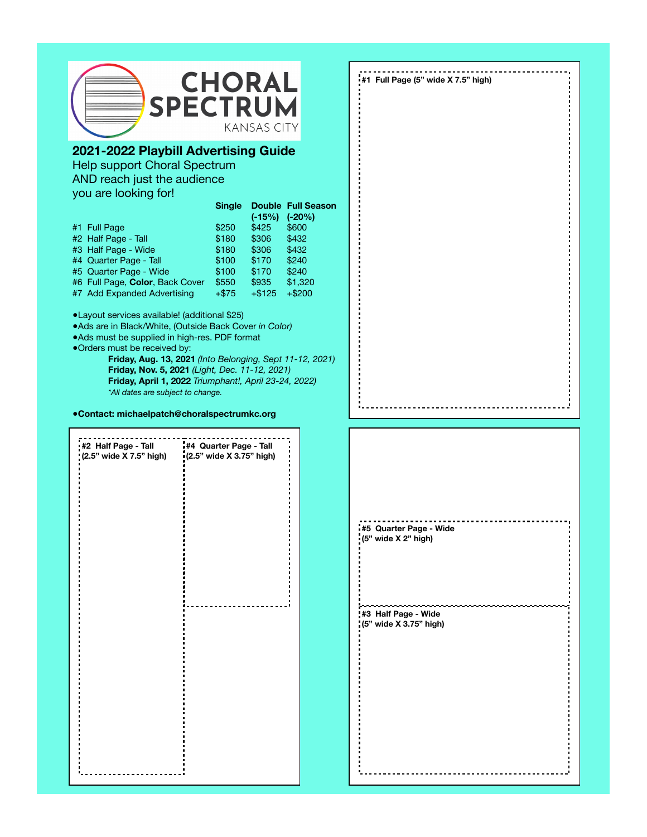

# **2021-2022 Playbill Advertising Guide**

Help support Choral Spectrum AND reach just the audience you are looking for!

|                                 | <b>Single</b> |          | <b>Double Full Season</b> |
|---------------------------------|---------------|----------|---------------------------|
|                                 |               | $(-15%)$ | $(-20%)$                  |
| #1 Full Page                    | \$250         | \$425    | \$600                     |
| #2 Half Page - Tall             | \$180         | \$306    | \$432                     |
| #3 Half Page - Wide             | \$180         | \$306    | \$432                     |
| #4 Quarter Page - Tall          | \$100         | \$170    | \$240                     |
| #5 Quarter Page - Wide          | \$100         | \$170    | \$240                     |
| #6 Full Page, Color, Back Cover | \$550         | \$935    | \$1,320                   |
| #7 Add Expanded Advertising     | $+ $75$       | $+ $125$ | $+ $200$                  |

●Layout services available! (additional \$25)

●Ads are in Black/White, (Outside Back Cover *in Color)*

●Ads must be supplied in high-res. PDF format

●Orders must be received by:

**Friday, Aug. 13, 2021** *(Into Belonging, Sept 11-12, 2021)*  **Friday, Nov. 5, 2021** *(Light, Dec. 11-12, 2021)*  **Friday, April 1, 2022** *Triumphant!, April 23-24, 2022) \*All dates are subject to change.*

**●Contact: michaelpatch@choralspectrumkc.org**

| #2 Half Page - Tall     | #4 Quarter Page - Tall   |  |  |  |  |
|-------------------------|--------------------------|--|--|--|--|
| (2.5" wide X 7.5" high) | (2.5" wide X 3.75" high) |  |  |  |  |
|                         |                          |  |  |  |  |
|                         |                          |  |  |  |  |
|                         |                          |  |  |  |  |
|                         |                          |  |  |  |  |
|                         |                          |  |  |  |  |
|                         |                          |  |  |  |  |
|                         |                          |  |  |  |  |
|                         |                          |  |  |  |  |
|                         |                          |  |  |  |  |
|                         |                          |  |  |  |  |
|                         |                          |  |  |  |  |
|                         |                          |  |  |  |  |
|                         |                          |  |  |  |  |
|                         |                          |  |  |  |  |
|                         |                          |  |  |  |  |
|                         |                          |  |  |  |  |
|                         |                          |  |  |  |  |
|                         |                          |  |  |  |  |
|                         |                          |  |  |  |  |
|                         |                          |  |  |  |  |
|                         |                          |  |  |  |  |
|                         |                          |  |  |  |  |
|                         |                          |  |  |  |  |
|                         |                          |  |  |  |  |
|                         |                          |  |  |  |  |
|                         |                          |  |  |  |  |
|                         |                          |  |  |  |  |
|                         |                          |  |  |  |  |
|                         |                          |  |  |  |  |
|                         |                          |  |  |  |  |
|                         |                          |  |  |  |  |
|                         |                          |  |  |  |  |
|                         |                          |  |  |  |  |

**#1 Full Page (5" wide X 7.5" high)**

**#5 Quarter Page - Wide (5" wide X 2" high)**

**#3 Half Page - Wide (5" wide X 3.75" high)**